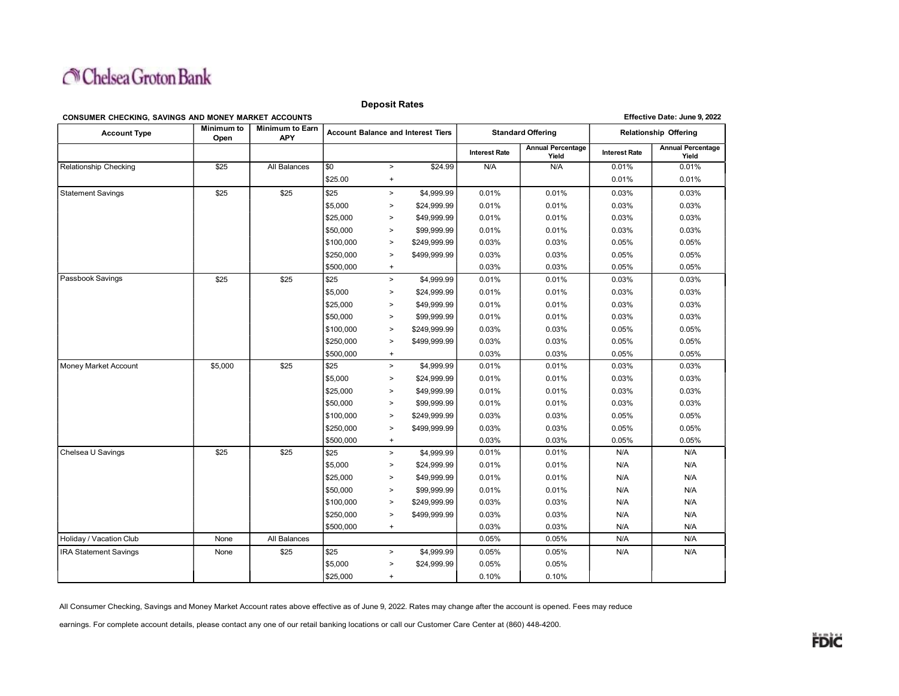

Deposit Rates

#### CONSUMER CHECKING, SAVINGS AND MONEY MARKET ACCOUNTS Effective Date: June 9, 2022

| <b>Account Type</b>          | <b>Minimum to</b><br>Open | <b>Minimum to Earn</b><br>APY | <b>Account Balance and Interest Tiers</b> |               |              | <b>Standard Offering</b> |                                   | <b>Relationship Offering</b> |                                   |
|------------------------------|---------------------------|-------------------------------|-------------------------------------------|---------------|--------------|--------------------------|-----------------------------------|------------------------------|-----------------------------------|
|                              |                           |                               |                                           |               |              | <b>Interest Rate</b>     | <b>Annual Percentage</b><br>Yield | <b>Interest Rate</b>         | <b>Annual Percentage</b><br>Yield |
| Relationship Checking        | \$25                      | All Balances                  | \$0                                       | $\,>\,$       | \$24.99      | N/A                      | N/A                               | 0.01%                        | 0.01%                             |
|                              |                           |                               | \$25.00                                   | $+$           |              |                          |                                   | 0.01%                        | 0.01%                             |
| <b>Statement Savings</b>     | \$25                      | \$25                          | \$25                                      | $\rightarrow$ | \$4,999.99   | 0.01%                    | 0.01%                             | 0.03%                        | 0.03%                             |
|                              |                           |                               | \$5,000                                   | $\geq$        | \$24,999.99  | 0.01%                    | 0.01%                             | 0.03%                        | 0.03%                             |
|                              |                           |                               | \$25,000                                  | $\geq$        | \$49,999.99  | 0.01%                    | 0.01%                             | 0.03%                        | 0.03%                             |
|                              |                           |                               | \$50,000                                  | $\geq$        | \$99,999.99  | 0.01%                    | 0.01%                             | 0.03%                        | 0.03%                             |
|                              |                           |                               | \$100,000                                 | $\,>\,$       | \$249,999.99 | 0.03%                    | 0.03%                             | 0.05%                        | 0.05%                             |
|                              |                           |                               | \$250,000                                 | $\geq$        | \$499,999.99 | 0.03%                    | 0.03%                             | 0.05%                        | 0.05%                             |
|                              |                           |                               | \$500,000                                 | $+$           |              | 0.03%                    | 0.03%                             | 0.05%                        | 0.05%                             |
| Passbook Savings             | \$25                      | \$25                          | \$25                                      | $\,>\,$       | \$4,999.99   | 0.01%                    | 0.01%                             | 0.03%                        | 0.03%                             |
|                              |                           |                               | \$5,000                                   | $\geq$        | \$24,999.99  | 0.01%                    | 0.01%                             | 0.03%                        | 0.03%                             |
|                              |                           |                               | \$25,000                                  | $\geq$        | \$49,999.99  | 0.01%                    | 0.01%                             | 0.03%                        | 0.03%                             |
|                              |                           |                               | \$50,000                                  | $\geq$        | \$99,999.99  | 0.01%                    | 0.01%                             | 0.03%                        | 0.03%                             |
|                              |                           |                               | \$100,000                                 | $\geq$        | \$249,999.99 | 0.03%                    | 0.03%                             | 0.05%                        | 0.05%                             |
|                              |                           |                               | \$250,000                                 | $\geq$        | \$499,999.99 | 0.03%                    | 0.03%                             | 0.05%                        | 0.05%                             |
|                              |                           |                               | \$500,000                                 | $+$           |              | 0.03%                    | 0.03%                             | 0.05%                        | 0.05%                             |
| Money Market Account         | \$5,000                   | \$25                          | \$25                                      | $\,>$         | \$4,999.99   | 0.01%                    | 0.01%                             | 0.03%                        | 0.03%                             |
|                              |                           |                               | \$5,000                                   | $\geq$        | \$24,999.99  | 0.01%                    | 0.01%                             | 0.03%                        | 0.03%                             |
|                              |                           |                               | \$25,000                                  | $\geq$        | \$49,999.99  | 0.01%                    | 0.01%                             | 0.03%                        | 0.03%                             |
|                              |                           |                               | \$50,000                                  | $\,>\,$       | \$99,999.99  | 0.01%                    | 0.01%                             | 0.03%                        | 0.03%                             |
|                              |                           |                               | \$100,000                                 | $\,>\,$       | \$249,999.99 | 0.03%                    | 0.03%                             | 0.05%                        | 0.05%                             |
|                              |                           |                               | \$250,000                                 | $\,>\,$       | \$499,999.99 | 0.03%                    | 0.03%                             | 0.05%                        | 0.05%                             |
|                              |                           |                               | \$500,000                                 | $+$           |              | 0.03%                    | 0.03%                             | 0.05%                        | 0.05%                             |
| Chelsea U Savings            | \$25                      | \$25                          | \$25                                      | $\geq$        | \$4,999.99   | 0.01%                    | 0.01%                             | N/A                          | N/A                               |
|                              |                           |                               | \$5,000                                   | $\,>$         | \$24,999.99  | 0.01%                    | 0.01%                             | N/A                          | N/A                               |
|                              |                           |                               | \$25,000                                  | $\geq$        | \$49,999.99  | 0.01%                    | 0.01%                             | N/A                          | N/A                               |
|                              |                           |                               | \$50,000                                  | $\geq$        | \$99,999.99  | 0.01%                    | 0.01%                             | N/A                          | N/A                               |
|                              |                           |                               | \$100,000                                 | $\, >$        | \$249,999.99 | 0.03%                    | 0.03%                             | N/A                          | N/A                               |
|                              |                           |                               | \$250,000                                 | $\,>$         | \$499,999.99 | 0.03%                    | 0.03%                             | N/A                          | N/A                               |
|                              |                           |                               | \$500,000                                 | $\ddot{}$     |              | 0.03%                    | 0.03%                             | N/A                          | N/A                               |
| Holiday / Vacation Club      | None                      | All Balances                  |                                           |               |              | 0.05%                    | 0.05%                             | N/A                          | N/A                               |
| <b>IRA</b> Statement Savings | None                      | \$25                          | \$25                                      | $\geq$        | \$4,999.99   | 0.05%                    | 0.05%                             | N/A                          | N/A                               |
|                              |                           |                               | \$5,000                                   | $\geq$        | \$24,999.99  | 0.05%                    | 0.05%                             |                              |                                   |
|                              |                           |                               | \$25,000                                  | $+$           |              | 0.10%                    | 0.10%                             |                              |                                   |

All Consumer Checking, Savings and Money Market Account rates above effective as of June 9, 2022. Rates may change after the account is opened. Fees may reduce

earnings. For complete account details, please contact any one of our retail banking locations or call our Customer Care Center at (860) 448-4200.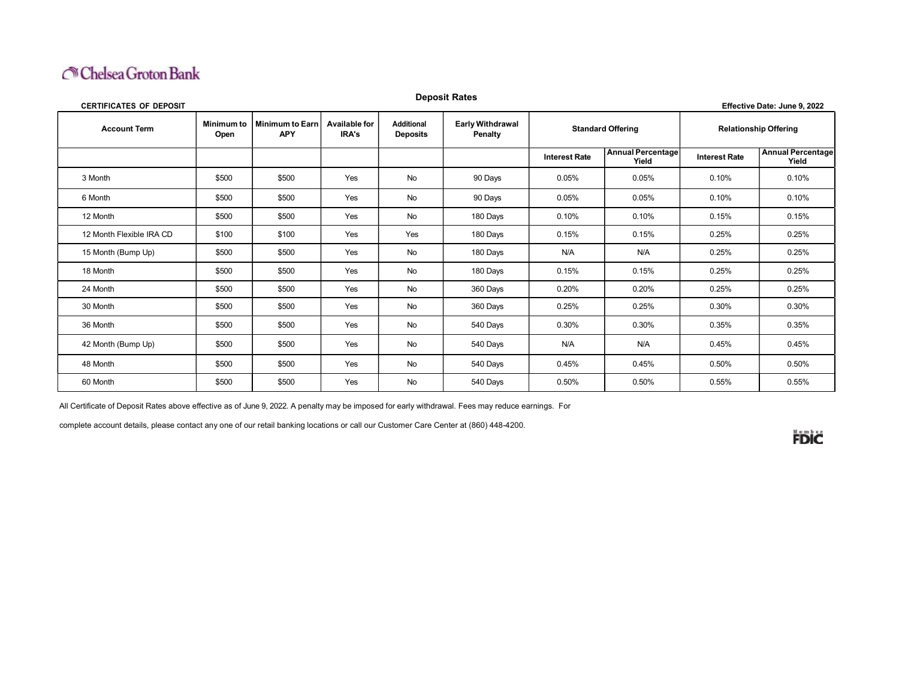## Chelsea Groton Bank

| <b>Deposit Rates</b><br><b>CERTIFICATES OF DEPOSIT</b><br>Effective Date: June 9, 2022 |                    |                                      |                               |                                      |                                    |                          |                            |                              |                                   |  |
|----------------------------------------------------------------------------------------|--------------------|--------------------------------------|-------------------------------|--------------------------------------|------------------------------------|--------------------------|----------------------------|------------------------------|-----------------------------------|--|
| <b>Account Term</b>                                                                    | Minimum to<br>Open | <b>Minimum to Earn</b><br><b>APY</b> | <b>Available for</b><br>IRA's | <b>Additional</b><br><b>Deposits</b> | <b>Early Withdrawal</b><br>Penalty | <b>Standard Offering</b> |                            | <b>Relationship Offering</b> |                                   |  |
|                                                                                        |                    |                                      |                               |                                      |                                    | <b>Interest Rate</b>     | Annual Percentage<br>Yield | <b>Interest Rate</b>         | <b>Annual Percentage</b><br>Yield |  |
| 3 Month                                                                                | \$500              | \$500                                | Yes                           | <b>No</b>                            | 90 Days                            | 0.05%                    | 0.05%                      | 0.10%                        | 0.10%                             |  |
| 6 Month                                                                                | \$500              | \$500                                | Yes                           | <b>No</b>                            | 90 Days                            | 0.05%                    | 0.05%                      | 0.10%                        | 0.10%                             |  |
| 12 Month                                                                               | \$500              | \$500                                | Yes                           | No                                   | 180 Days                           | 0.10%                    | 0.10%                      | 0.15%                        | 0.15%                             |  |
| 12 Month Flexible IRA CD                                                               | \$100              | \$100                                | Yes                           | Yes                                  | 180 Days                           | 0.15%                    | 0.15%                      | 0.25%                        | 0.25%                             |  |
| 15 Month (Bump Up)                                                                     | \$500              | \$500                                | Yes                           | <b>No</b>                            | 180 Days                           | N/A                      | N/A                        | 0.25%                        | 0.25%                             |  |
| 18 Month                                                                               | \$500              | \$500                                | Yes                           | <b>No</b>                            | 180 Days                           | 0.15%                    | 0.15%                      | 0.25%                        | 0.25%                             |  |
| 24 Month                                                                               | \$500              | \$500                                | Yes                           | <b>No</b>                            | 360 Days                           | 0.20%                    | 0.20%                      | 0.25%                        | 0.25%                             |  |
| 30 Month                                                                               | \$500              | \$500                                | Yes                           | No                                   | 360 Days                           | 0.25%                    | 0.25%                      | 0.30%                        | 0.30%                             |  |
| 36 Month                                                                               | \$500              | \$500                                | Yes                           | <b>No</b>                            | 540 Days                           | 0.30%                    | 0.30%                      | 0.35%                        | 0.35%                             |  |
| 42 Month (Bump Up)                                                                     | \$500              | \$500                                | Yes                           | No                                   | 540 Days                           | N/A                      | N/A                        | 0.45%                        | 0.45%                             |  |
| 48 Month                                                                               | \$500              | \$500                                | Yes                           | No                                   | 540 Days                           | 0.45%                    | 0.45%                      | 0.50%                        | 0.50%                             |  |
| 60 Month                                                                               | \$500              | \$500                                | Yes                           | No                                   | 540 Days                           | 0.50%                    | 0.50%                      | 0.55%                        | 0.55%                             |  |

All Certificate of Deposit Rates above effective as of June 9, 2022. A penalty may be imposed for early withdrawal. Fees may reduce earnings. For

complete account details, please contact any one of our retail banking locations or call our Customer Care Center at (860) 448-4200.

**FDIC**